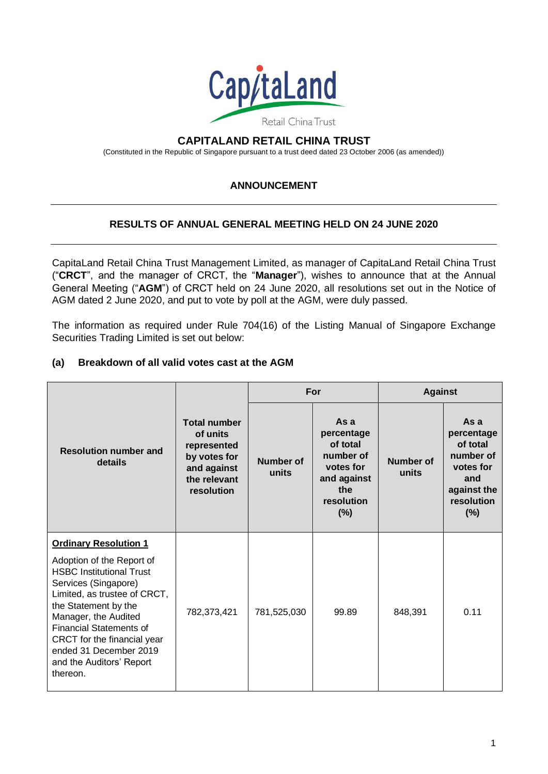

## **CAPITALAND RETAIL CHINA TRUST**

(Constituted in the Republic of Singapore pursuant to a trust deed dated 23 October 2006 (as amended))

## **ANNOUNCEMENT**

## **RESULTS OF ANNUAL GENERAL MEETING HELD ON 24 JUNE 2020**

CapitaLand Retail China Trust Management Limited, as manager of CapitaLand Retail China Trust ("**CRCT**", and the manager of CRCT, the "**Manager**"), wishes to announce that at the Annual General Meeting ("**AGM**") of CRCT held on 24 June 2020, all resolutions set out in the Notice of AGM dated 2 June 2020, and put to vote by poll at the AGM, were duly passed.

The information as required under Rule 704(16) of the Listing Manual of Singapore Exchange Securities Trading Limited is set out below:

### **(a) Breakdown of all valid votes cast at the AGM**

| <b>Resolution number and</b><br>details                                                                                                                                                                                                                                                                                                 | <b>Total number</b><br>of units<br>represented<br>by votes for<br>and against<br>the relevant<br>resolution | For                       |                                                                                                    | <b>Against</b>            |                                                                                                    |
|-----------------------------------------------------------------------------------------------------------------------------------------------------------------------------------------------------------------------------------------------------------------------------------------------------------------------------------------|-------------------------------------------------------------------------------------------------------------|---------------------------|----------------------------------------------------------------------------------------------------|---------------------------|----------------------------------------------------------------------------------------------------|
|                                                                                                                                                                                                                                                                                                                                         |                                                                                                             | <b>Number of</b><br>units | Asa<br>percentage<br>of total<br>number of<br>votes for<br>and against<br>the<br>resolution<br>(%) | <b>Number of</b><br>units | Asa<br>percentage<br>of total<br>number of<br>votes for<br>and<br>against the<br>resolution<br>(%) |
| <b>Ordinary Resolution 1</b><br>Adoption of the Report of<br><b>HSBC Institutional Trust</b><br>Services (Singapore)<br>Limited, as trustee of CRCT,<br>the Statement by the<br>Manager, the Audited<br><b>Financial Statements of</b><br>CRCT for the financial year<br>ended 31 December 2019<br>and the Auditors' Report<br>thereon. | 782,373,421                                                                                                 | 781,525,030               | 99.89                                                                                              | 848,391                   | 0.11                                                                                               |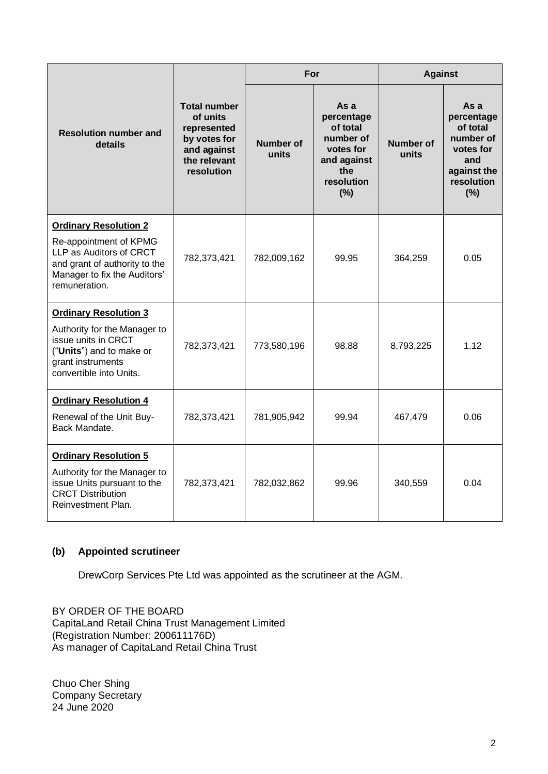| <b>Resolution number and</b><br>details                                                                                             | <b>Total number</b><br>of units<br>represented<br>by votes for<br>and against<br>the relevant<br>resolution | For                       |                                                                                                     | <b>Against</b>            |                                                                                                     |
|-------------------------------------------------------------------------------------------------------------------------------------|-------------------------------------------------------------------------------------------------------------|---------------------------|-----------------------------------------------------------------------------------------------------|---------------------------|-----------------------------------------------------------------------------------------------------|
|                                                                                                                                     |                                                                                                             | <b>Number of</b><br>units | As a<br>percentage<br>of total<br>number of<br>votes for<br>and against<br>the<br>resolution<br>(%) | <b>Number of</b><br>units | As a<br>percentage<br>of total<br>number of<br>votes for<br>and<br>against the<br>resolution<br>(%) |
| <b>Ordinary Resolution 2</b>                                                                                                        |                                                                                                             |                           |                                                                                                     |                           |                                                                                                     |
| Re-appointment of KPMG<br>LLP as Auditors of CRCT<br>and grant of authority to the<br>Manager to fix the Auditors'<br>remuneration. | 782,373,421                                                                                                 | 782,009,162               | 99.95                                                                                               | 364,259                   | 0.05                                                                                                |
| <b>Ordinary Resolution 3</b>                                                                                                        |                                                                                                             |                           |                                                                                                     |                           |                                                                                                     |
| Authority for the Manager to<br>issue units in CRCT<br>("Units") and to make or<br>grant instruments<br>convertible into Units.     | 782,373,421                                                                                                 | 773,580,196               | 98.88                                                                                               | 8,793,225                 | 1.12                                                                                                |
| <b>Ordinary Resolution 4</b>                                                                                                        |                                                                                                             |                           |                                                                                                     |                           |                                                                                                     |
| Renewal of the Unit Buy-<br>Back Mandate.                                                                                           | 782,373,421                                                                                                 | 781,905,942               | 99.94                                                                                               | 467,479                   | 0.06                                                                                                |
| <b>Ordinary Resolution 5</b>                                                                                                        |                                                                                                             |                           |                                                                                                     |                           |                                                                                                     |
| Authority for the Manager to<br>issue Units pursuant to the<br><b>CRCT Distribution</b><br>Reinvestment Plan.                       | 782,373,421                                                                                                 | 782,032,862               | 99.96                                                                                               | 340,559                   | 0.04                                                                                                |

# **(b) Appointed scrutineer**

DrewCorp Services Pte Ltd was appointed as the scrutineer at the AGM.

BY ORDER OF THE BOARD CapitaLand Retail China Trust Management Limited (Registration Number: 200611176D) As manager of CapitaLand Retail China Trust

Chuo Cher Shing Company Secretary 24 June 2020